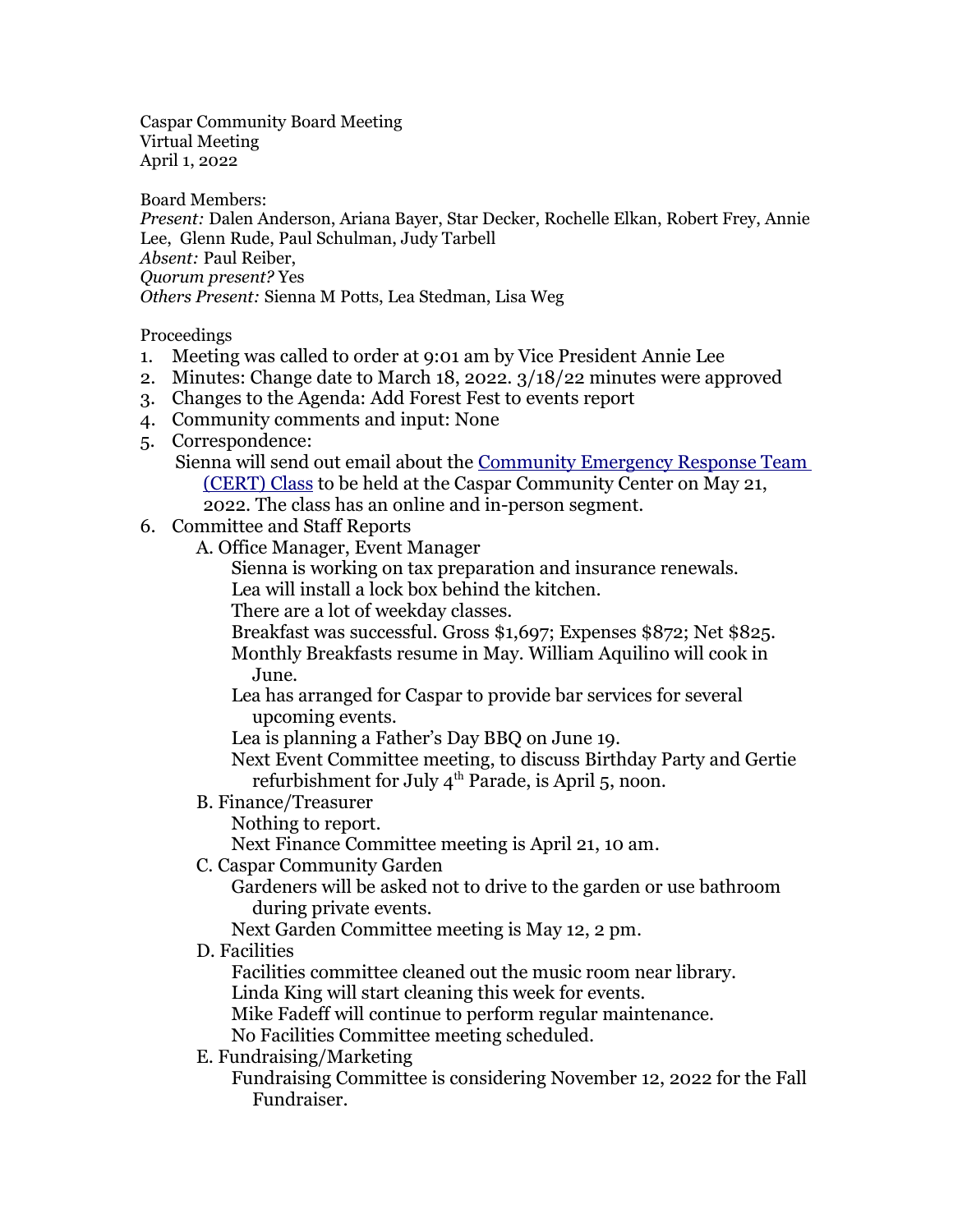Caspar Community Board Meeting Virtual Meeting April 1, 2022

Board Members:

*Present:* Dalen Anderson, Ariana Bayer, Star Decker, Rochelle Elkan, Robert Frey, Annie Lee, Glenn Rude, Paul Schulman, Judy Tarbell *Absent:* Paul Reiber, *Quorum present?* Yes *Others Present:* Sienna M Potts, Lea Stedman, Lisa Weg

Proceedings

- 1. Meeting was called to order at 9:01 am by Vice President Annie Lee
- 2. Minutes: Change date to March 18, 2022. 3/18/22 minutes were approved
- 3. Changes to the Agenda: Add Forest Fest to events report
- 4. Community comments and input: None
- 5. Correspondence:
	- Sienna will send out email about the [Community Emergency Response Team](http://www.mendocert.com/training.html)  (CERT) Class to be held at the Caspar Community Center on May 21, 2022. The class has an online and in-person segment.
- 6. Committee and Staff Reports
	- A. Office Manager, Event Manager
		- Sienna is working on tax preparation and insurance renewals.
		- Lea will install a lock box behind the kitchen.

There are a lot of weekday classes.

- Breakfast was successful. Gross \$1,697; Expenses \$872; Net \$825.
- Monthly Breakfasts resume in May. William Aquilino will cook in June.

Lea has arranged for Caspar to provide bar services for several upcoming events.

Lea is planning a Father's Day BBQ on June 19.

Next Event Committee meeting, to discuss Birthday Party and Gertie refurbishment for July  $4<sup>th</sup>$  Parade, is April 5, noon.

B. Finance/Treasurer

Nothing to report.

Next Finance Committee meeting is April 21, 10 am.

C. Caspar Community Garden

Gardeners will be asked not to drive to the garden or use bathroom during private events.

Next Garden Committee meeting is May 12, 2 pm.

D. Facilities

Facilities committee cleaned out the music room near library.

Linda King will start cleaning this week for events.

Mike Fadeff will continue to perform regular maintenance.

No Facilities Committee meeting scheduled.

E. Fundraising/Marketing

Fundraising Committee is considering November 12, 2022 for the Fall Fundraiser.